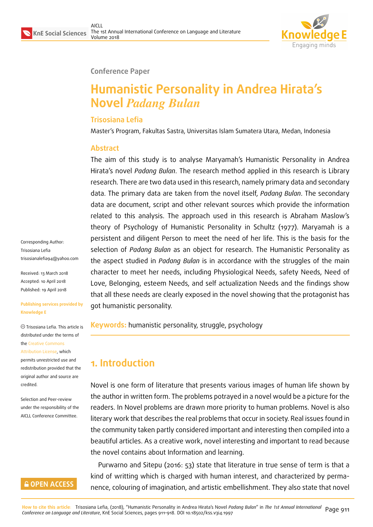

#### **Conference Paper**

# **Humanistic Personality in Andrea Hirata's Novel** *Padang Bulan*

### **Trisosiana Lefia**

Master's Program, Fakultas Sastra, Universitas Islam Sumatera Utara, Medan, Indonesia

#### **Abstract**

The aim of this study is to analyse Maryamah's Humanistic Personality in Andrea Hirata's novel *Padang Bulan*. The research method applied in this research is Library research. There are two data used in this research, namely primary data and secondary data. The primary data are taken from the novel itself, *Padang Bulan*. The secondary data are document, script and other relevant sources which provide the information related to this analysis. The approach used in this research is Abraham Maslow's theory of Psychology of Humanistic Personality in Schultz (1977). Maryamah is a persistent and diligent Person to meet the need of her life. This is the basis for the selection of *Padang Bulan* as an object for research. The Humanistic Personality as the aspect studied in *Padang Bulan* is in accordance with the struggles of the main character to meet her needs, including Physiological Needs, safety Needs, Need of Love, Belonging, esteem Needs, and self actualization Needs and the findings show that all these needs are clearly exposed in the novel showing that the protagonist has got humanistic personality.

**Keywords:** humanistic personality, struggle, psychology

# **1. Introduction**

Novel is one form of literature that presents various images of human life shown by the author in written form. The problems potrayed in a novel would be a picture for the readers. In Novel problems are drawn more priority to human problems. Novel is also literary work that describes the real problems that occur in society. Real issues found in the community taken partly considered important and interesting then compiled into a beautiful articles. As a creative work, novel interesting and important to read because the novel contains about Information and learning.

Purwarno and Sitepu (2016: 53) state that literature in true sense of term is that a kind of writting which is charged with human interest, and characterized by permanence, colouring of imagination, and artistic embellishment. They also state that novel

**GOPEN ACCESS** 

Corresponding Author: Trisosiana Lefia trisosianalefia94@yahoo.com

Received: 13 March 2018 Accepted: 10 April 2018 [Published: 19 April 2018](mailto:trisosianalefia94@yahoo.com)

#### **Publishing services provided by Knowledge E**

Trisosiana Lefia. This article is distributed under the terms of the Creative Commons Attribution License, which permits unrestricted use and redistribution provided that the ori[ginal author and sou](https://creativecommons.org/licenses/by/4.0/)rce are

Selection and Peer-review under the responsibility of the AICLL Conference Committee.

[credited.](https://creativecommons.org/licenses/by/4.0/)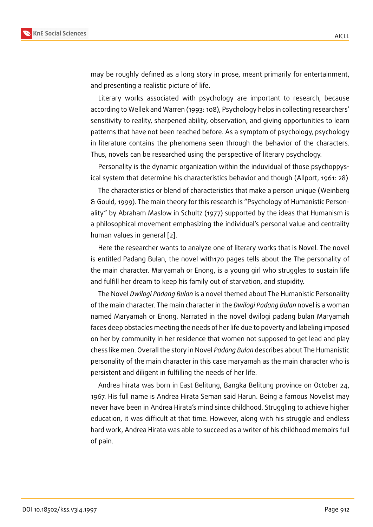may be roughly defined as a long story in prose, meant primarily for entertainment, and presenting a realistic picture of life.

Literary works associated with psychology are important to research, because according to Wellek and Warren (1993: 108), Psychology helps in collecting researchers' sensitivity to reality, sharpened ability, observation, and giving opportunities to learn patterns that have not been reached before. As a symptom of psychology, psychology in literature contains the phenomena seen through the behavior of the characters. Thus, novels can be researched using the perspective of literary psychology.

Personality is the dynamic organization within the induvidual of those psychoppysical system that determine his characteristics behavior and though (Allport, 1961: 28)

The characteristics or blend of characteristics that make a person unique (Weinberg & Gould, 1999). The main theory for this research is "Psychology of Humanistic Personality" by Abraham Maslow in Schultz (1977) supported by the ideas that Humanism is a philosophical movement emphasizing the individual's personal value and centrality human values in general [2].

Here the researcher wants to analyze one of literary works that is Novel. The novel is entitled Padang Bulan, the novel with170 pages tells about the The personality of the main character. Mary[am](#page-7-0)ah or Enong, is a young girl who struggles to sustain life and fulfill her dream to keep his family out of starvation, and stupidity.

The Novel *Dwilogi Padang Bulan* is a novel themed about The Humanistic Personality of the main character. The main character in the *Dwilogi Padang Bulan* novel is a woman named Maryamah or Enong. Narrated in the novel dwilogi padang bulan Maryamah faces deep obstacles meeting the needs of her life due to poverty and labeling imposed on her by community in her residence that women not supposed to get lead and play chess like men. Overall the story in Novel *Padang Bulan* describes about The Humanistic personality of the main character in this case maryamah as the main character who is persistent and diligent in fulfilling the needs of her life.

Andrea hirata was born in East Belitung, Bangka Belitung province on October 24, 1967. His full name is Andrea Hirata Seman said Harun. Being a famous Novelist may never have been in Andrea Hirata's mind since childhood. Struggling to achieve higher education, it was difficult at that time. However, along with his struggle and endless hard work, Andrea Hirata was able to succeed as a writer of his childhood memoirs full of pain.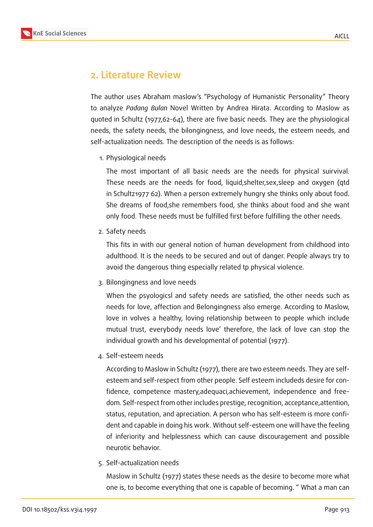

## **2. Literature Review**

The author uses Abraham maslow's "Psychology of Humanistic Personality" Theory to analyze *Padang Bulan* Novel Written by Andrea Hirata. According to Maslow as quoted in Schultz (1977,62-64), there are five basic needs. They are the physiological needs, the safety needs, the bilongingness, and love needs, the esteem needs, and self-actualization needs. The description of the needs is as follows:

1. Physiological needs

The most important of all basic needs are the needs for physical suirvival. These needs are the needs for food, liquid,shelter,sex,sleep and oxygen (qtd in Schultz1977 62). When a person extremely hungry she thinks only about food. She dreams of food,she remembers food, she thinks about food and she want only food. These needs must be fulfilled first before fulfilling the other needs.

2. Safety needs

This fits in with our general notion of human development from childhood into adulthood. It is the needs to be secured and out of danger. People always try to avoid the dangerous thing especially related tp physical violence.

3. Bilongingness and love needs

When the psyologicsl and safety needs are satisfied, the other needs such as needs for love, affection and Belongingness also emerge. According to Maslow, love in volves a healthy, loving relationship between to people which include mutual trust, everybody needs love' therefore, the lack of love can stop the individual growth and his developmental of potential (1977).

4. Self-esteem needs

According to Maslow in Schultz (1977), there are two esteem needs. They are selfesteem and self-respect from other people. Self esteem includeds desire for confidence, competence mastery,adequaci,achievement, independence and freedom. Self-respect from other includes prestige, recognition, acceptance,attention, status, reputation, and apreciation. A person who has self-esteem is more confident and capable in doing his work. Without self-esteem one will have the feeling of inferiority and helplessness which can cause discouragement and possible neurotic behavior.

5. Self-actualization needs

Maslow in Schultz (1977) states these needs as the desire to become more what one is, to become everything that one is capable of becoming. " What a man can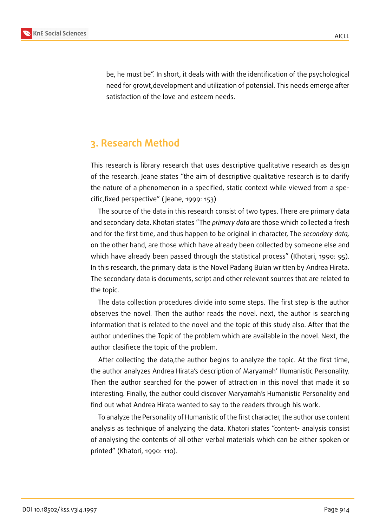

be, he must be". In short, it deals with with the identification of the psychological need for growt,development and utilization of potensial. This needs emerge after satisfaction of the love and esteem needs.

# **3. Research Method**

This research is library research that uses descriptive qualitative research as design of the research. Jeane states "the aim of descriptive qualitative research is to clarify the nature of a phenomenon in a specified, static context while viewed from a specific,fixed perspective" ( Jeane, 1999: 153)

The source of the data in this research consist of two types. There are primary data and secondary data. Khotari states "The *primary data* are those which collected a fresh and for the first time, and thus happen to be original in character, The *secondary data,* on the other hand, are those which have already been collected by someone else and which have already been passed through the statistical process" (Khotari, 1990: 95). In this research, the primary data is the Novel Padang Bulan written by Andrea Hirata. The secondary data is documents, script and other relevant sources that are related to the topic.

The data collection procedures divide into some steps. The first step is the author observes the novel. Then the author reads the novel. next, the author is searching information that is related to the novel and the topic of this study also. After that the author underlines the Topic of the problem which are available in the novel. Next, the author clasifiece the topic of the problem.

After collecting the data,the author begins to analyze the topic. At the first time, the author analyzes Andrea Hirata's description of Maryamah' Humanistic Personality. Then the author searched for the power of attraction in this novel that made it so interesting. Finally, the author could discover Maryamah's Humanistic Personality and find out what Andrea Hirata wanted to say to the readers through his work.

To analyze the Personality of Humanistic of the first character, the author use content analysis as technique of analyzing the data. Khatori states "content- analysis consist of analysing the contents of all other verbal materials which can be either spoken or printed" (Khatori, 1990: 110).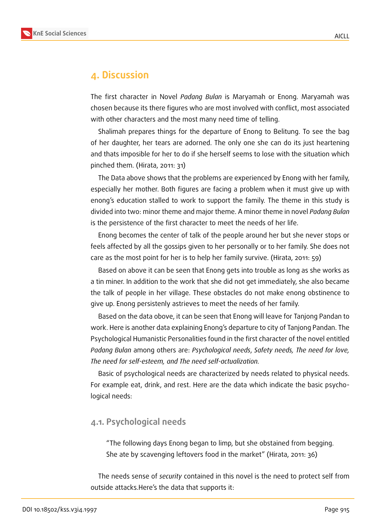

### **4. Discussion**

The first character in Novel *Padang Bulan* is Maryamah or Enong. Maryamah was chosen because its there figures who are most involved with conflict, most associated with other characters and the most many need time of telling.

Shalimah prepares things for the departure of Enong to Belitung. To see the bag of her daughter, her tears are adorned. The only one she can do its just heartening and thats imposible for her to do if she herself seems to lose with the situation which pinched them. (Hirata, 2011: 31)

The Data above shows that the problems are experienced by Enong with her family, especially her mother. Both figures are facing a problem when it must give up with enong's education stalled to work to support the family. The theme in this study is divided into two: minor theme and major theme. A minor theme in novel *Padang Bulan* is the persistence of the first character to meet the needs of her life.

Enong becomes the center of talk of the people around her but she never stops or feels affected by all the gossips given to her personally or to her family. She does not care as the most point for her is to help her family survive. (Hirata, 2011: 59)

Based on above it can be seen that Enong gets into trouble as long as she works as a tin miner. In addition to the work that she did not get immediately, she also became the talk of people in her village. These obstacles do not make enong obstinence to give up. Enong persistenly astrieves to meet the needs of her family.

Based on the data obove, it can be seen that Enong will leave for Tanjong Pandan to work. Here is another data explaining Enong's departure to city of Tanjong Pandan. The Psychological Humanistic Personalities found in the first character of the novel entitled *Padang Bulan* among others are: *Psychological needs*, *Safety needs, The need for love, The need for self-esteem, and The need self-actualization.*

Basic of psychological needs are characterized by needs related to physical needs. For example eat, drink, and rest. Here are the data which indicate the basic psychological needs:

#### **4.1. Psychological needs**

"The following days Enong began to limp, but she obstained from begging. She ate by scavenging leftovers food in the market" (Hirata, 2011: 36)

The needs sense of *security* contained in this novel is the need to protect self from outside attacks.Here's the data that supports it: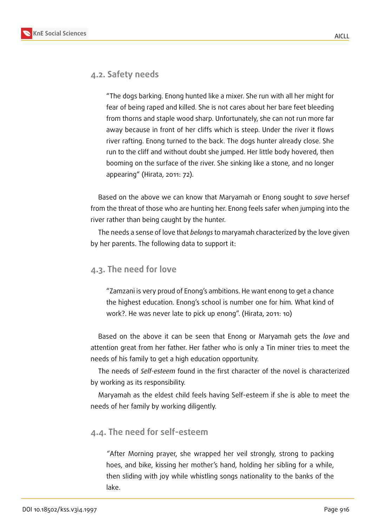

#### **4.2. Safety needs**

"The dogs barking. Enong hunted like a mixer. She run with all her might for fear of being raped and killed. She is not cares about her bare feet bleeding from thorns and staple wood sharp. Unfortunately, she can not run more far away because in front of her cliffs which is steep. Under the river it flows river rafting. Enong turned to the back. The dogs hunter already close. She run to the cliff and without doubt she jumped. Her little body hovered, then booming on the surface of the river. She sinking like a stone, and no longer appearing" (Hirata, 2011: 72).

Based on the above we can know that Maryamah or Enong sought to *save* hersef from the threat of those who are hunting her. Enong feels safer when jumping into the river rather than being caught by the hunter.

The needs a sense of love that *belongs* to maryamah characterized by the love given by her parents. The following data to support it:

#### **4.3. The need for love**

"Zamzani is very proud of Enong's ambitions. He want enong to get a chance the highest education. Enong's school is number one for him. What kind of work?. He was never late to pick up enong". (Hirata, 2011: 10)

Based on the above it can be seen that Enong or Maryamah gets the *love* and attention great from her father. Her father who is only a Tin miner tries to meet the needs of his family to get a high education opportunity.

The needs of *Self-esteem* found in the first character of the novel is characterized by working as its responsibility.

Maryamah as the eldest child feels having Self-esteem if she is able to meet the needs of her family by working diligently.

#### **4.4. The need for self-esteem**

*"*After Morning prayer, she wrapped her veil strongly, strong to packing hoes, and bike, kissing her mother's hand, holding her sibling for a while, then sliding with joy while whistling songs nationality to the banks of the lake.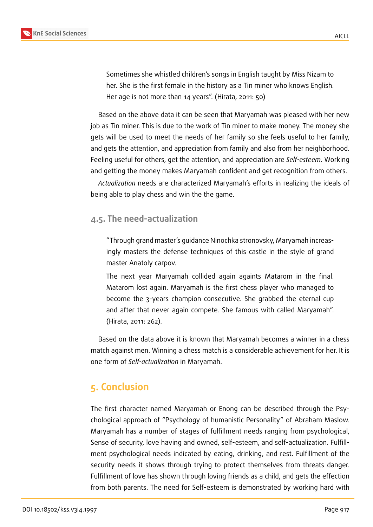

Sometimes she whistled children's songs in English taught by Miss Nizam to her. She is the first female in the history as a Tin miner who knows English. Her age is not more than 14 years". (Hirata, 2011: 50)

Based on the above data it can be seen that Maryamah was pleased with her new job as Tin miner. This is due to the work of Tin miner to make money. The money she gets will be used to meet the needs of her family so she feels useful to her family, and gets the attention, and appreciation from family and also from her neighborhood. Feeling useful for others, get the attention, and appreciation are *Self-esteem.* Working and getting the money makes Maryamah confident and get recognition from others.

*Actualization* needs are characterized Maryamah's efforts in realizing the ideals of being able to play chess and win the the game.

#### **4.5. The need-actualization**

"Through grand master's guidance Ninochka stronovsky, Maryamah increasingly masters the defense techniques of this castle in the style of grand master Anatoly carpov.

The next year Maryamah collided again againts Matarom in the final. Matarom lost again. Maryamah is the first chess player who managed to become the 3-years champion consecutive. She grabbed the eternal cup and after that never again compete. She famous with called Maryamah". (Hirata, 2011: 262).

Based on the data above it is known that Maryamah becomes a winner in a chess match against men. Winning a chess match is a considerable achievement for her. It is one form of *Self-actualization* in Maryamah.

## **5. Conclusion**

The first character named Maryamah or Enong can be described through the Psychological approach of "Psychology of humanistic Personality" of Abraham Maslow. Maryamah has a number of stages of fulfillment needs ranging from psychological, Sense of security, love having and owned, self-esteem, and self-actualization. Fulfillment psychological needs indicated by eating, drinking, and rest. Fulfillment of the security needs it shows through trying to protect themselves from threats danger. Fulfillment of love has shown through loving friends as a child, and gets the effection from both parents. The need for Self-esteem is demonstrated by working hard with